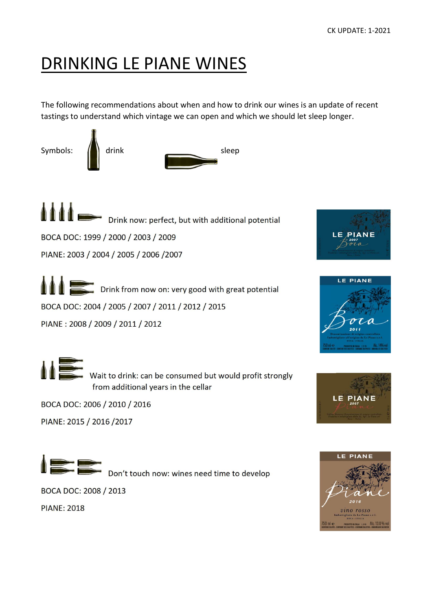### DRINKING LE PIANE WINES

The following recommendations about when and how to drink our wines is an update of recent tastings to understand which vintage we can open and which we should let sleep longer.



Drink now: perfect, but with additional potential BOCA DOC: 1999 / 2000 / 2003 / 2009 PIANE: 2003 / 2004 / 2005 / 2006 /2007

**Drink from now on: very good with great potential** BOCA DOC: 2004 / 2005 / 2007 / 2011 / 2012 / 2015 PIANE : 2008 / 2009 / 2011 / 2012







Wait to drink: can be consumed but would profit strongly from additional years in the cellar

BOCA DOC: 2006 / 2010 / 2016

PIANE: 2015 / 2016 /2017



Don't touch now: wines need time to develop

BOCA DOC: 2008 / 2013

PIANE: 2018

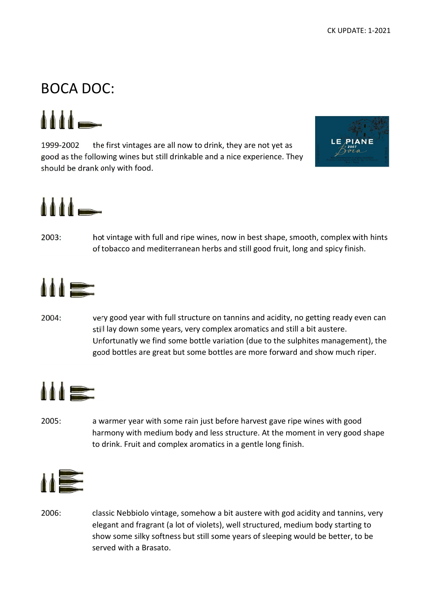#### BOCA DOC:

 $111 -$ 

1999-2002 the first vintages are all now to drink, they are not yet as good as the following wines but still drinkable and a nice experience. They should be drank only with food.



# $\Delta \Delta \Delta$

2003: hot vintage with full and ripe wines, now in best shape, smooth, complex with hints of tobacco and mediterranean herbs and still good fruit, long and spicy finish.



2004: very good year with full structure on tannins and acidity, no getting ready even can still lay down some years, very complex aromatics and still a bit austere. Unfortunatly we find some bottle variation (due to the sulphites management), the good bottles are great but some bottles are more forward and show much riper.



2005: a warmer year with some rain just before harvest gave ripe wines with good harmony with medium body and less structure. At the moment in very good shape to drink. Fruit and complex aromatics in a gentle long finish.



2006: classic Nebbiolo vintage, somehow a bit austere with god acidity and tannins, very elegant and fragrant (a lot of violets), well structured, medium body starting to show some silky softness but still some years of sleeping would be better, to be served with a Brasato.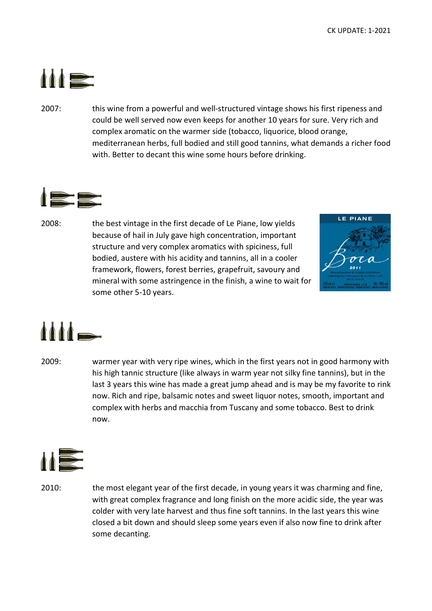

2007: this wine from a powerful and well-structured vintage shows his first ripeness and could be well served now even keeps for another 10 years for sure. Very rich and complex aromatic on the warmer side (tobacco, liquorice, blood orange, mediterranean herbs, full bodied and still good tannins, what demands a richer food with. Better to decant this wine some hours before drinking.



2008: the best vintage in the first decade of Le Piane, low yields because of hail in July gave high concentration, important structure and very complex aromatics with spiciness, full bodied, austere with his acidity and tannins, all in a cooler framework, flowers, forest berries, grapefruit, savoury and mineral with some astringence in the finish, a wine to wait for some other 5-10 years.





2009: warmer year with very ripe wines, which in the first years not in good harmony with his high tannic structure (like always in warm year not silky fine tannins), but in the last 3 years this wine has made a great jump ahead and is may be my favorite to rink now. Rich and ripe, balsamic notes and sweet liquor notes, smooth, important and complex with herbs and macchia from Tuscany and some tobacco. Best to drink now.



2010: the most elegant year of the first decade, in young years it was charming and fine, with great complex fragrance and long finish on the more acidic side, the year was colder with very late harvest and thus fine soft tannins. In the last years this wine closed a bit down and should sleep some years even if also now fine to drink after some decanting.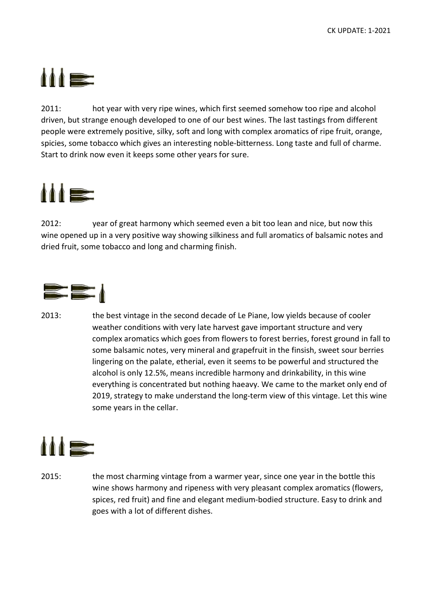### $\mathbf{M}$

2011: hot year with very ripe wines, which first seemed somehow too ripe and alcohol driven, but strange enough developed to one of our best wines. The last tastings from different people were extremely positive, silky, soft and long with complex aromatics of ripe fruit, orange, spicies, some tobacco which gives an interesting noble-bitterness. Long taste and full of charme. Start to drink now even it keeps some other years for sure.



2012: year of great harmony which seemed even a bit too lean and nice, but now this wine opened up in a very positive way showing silkiness and full aromatics of balsamic notes and dried fruit, some tobacco and long and charming finish.



2013: the best vintage in the second decade of Le Piane, low yields because of cooler weather conditions with very late harvest gave important structure and very complex aromatics which goes from flowers to forest berries, forest ground in fall to some balsamic notes, very mineral and grapefruit in the finsish, sweet sour berries lingering on the palate, etherial, even it seems to be powerful and structured the alcohol is only 12.5%, means incredible harmony and drinkability, in this wine everything is concentrated but nothing haeavy. We came to the market only end of 2019, strategy to make understand the long-term view of this vintage. Let this wine some years in the cellar.



2015: the most charming vintage from a warmer year, since one year in the bottle this wine shows harmony and ripeness with very pleasant complex aromatics (flowers, spices, red fruit) and fine and elegant medium-bodied structure. Easy to drink and goes with a lot of different dishes.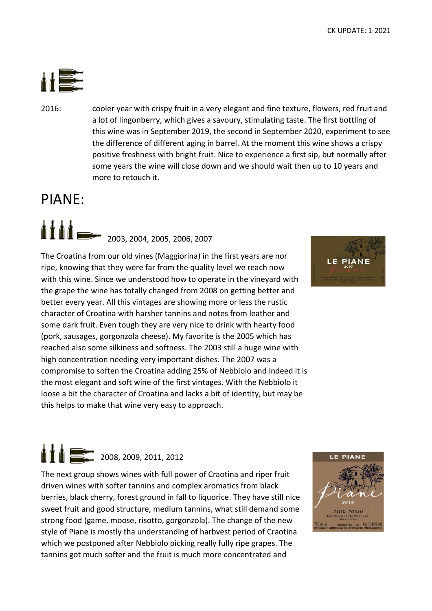

2016: cooler year with crispy fruit in a very elegant and fine texture, flowers, red fruit and a lot of lingonberry, which gives a savoury, stimulating taste. The first bottling of this wine was in September 2019, the second in September 2020, experiment to see the difference of different aging in barrel. At the moment this wine shows a crispy positive freshness with bright fruit. Nice to experience a first sip, but normally after some years the wine will close down and we should wait then up to 10 years and more to retouch it.

#### PIANE:

1111-2003, 2004, 2005, 2006, 2007

The Croatina from our old vines (Maggiorina) in the first years are nor ripe, knowing that they were far from the quality level we reach now with this wine. Since we understood how to operate in the vineyard with the grape the wine has totally changed from 2008 on getting better and better every year. All this vintages are showing more or less the rustic character of Croatina with harsher tannins and notes from leather and some dark fruit. Even tough they are very nice to drink with hearty food (pork, sausages, gorgonzola cheese). My favorite is the 2005 which has reached also some silkiness and softness. The 2003 still a huge wine with high concentration needing very important dishes. The 2007 was a compromise to soften the Croatina adding 25% of Nebbiolo and indeed it is the most elegant and soft wine of the first vintages. With the Nebbiolo it loose a bit the character of Croatina and lacks a bit of identity, but may be this helps to make that wine very easy to approach.



## $\bullet$   $\bullet$  2008, 2009, 2011, 2012

The next group shows wines with full power of Craotina and riper fruit driven wines with softer tannins and complex aromatics from black berries, black cherry, forest ground in fall to liquorice. They have still nice sweet fruit and good structure, medium tannins, what still demand some strong food (game, moose, risotto, gorgonzola). The change of the new style of Piane is mostly tha understanding of harbvest period of Craotina which we postponed after Nebbiolo picking really fully ripe grapes. The tannins got much softer and the fruit is much more concentrated and